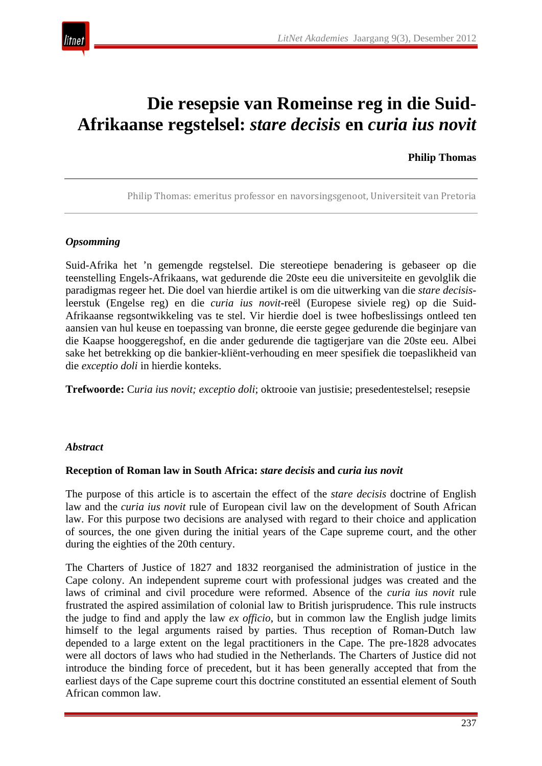

# **Die resepsie van Romeinse reg in die Suid-Afrikaanse regstelsel:** *stare decisis* **en** *curia ius novit*

#### **Philip Thomas**

Philip Thomas: emeritus professor en navorsingsgenoot, Universiteit van Pretoria

#### *Opsomming*

Suid-Afrika het 'n gemengde regstelsel. Die stereotiepe benadering is gebaseer op die teenstelling Engels-Afrikaans, wat gedurende die 20ste eeu die universiteite en gevolglik die paradigmas regeer het. Die doel van hierdie artikel is om die uitwerking van die *stare decisis*leerstuk (Engelse reg) en die *curia ius novit*-reël (Europese siviele reg) op die Suid-Afrikaanse regsontwikkeling vas te stel. Vir hierdie doel is twee hofbeslissings ontleed ten aansien van hul keuse en toepassing van bronne, die eerste gegee gedurende die beginjare van die Kaapse hooggeregshof, en die ander gedurende die tagtigerjare van die 20ste eeu. Albei sake het betrekking op die bankier-kliënt-verhouding en meer spesifiek die toepaslikheid van die *exceptio doli* in hierdie konteks.

**Trefwoorde:** C*uria ius novit; exceptio doli*; oktrooie van justisie; presedentestelsel; resepsie

#### *Abstract*

#### **Reception of Roman law in South Africa:** *stare decisis* **and** *curia ius novit*

The purpose of this article is to ascertain the effect of the *stare decisis* doctrine of English law and the *curia ius novit* rule of European civil law on the development of South African law. For this purpose two decisions are analysed with regard to their choice and application of sources, the one given during the initial years of the Cape supreme court, and the other during the eighties of the 20th century.

The Charters of Justice of 1827 and 1832 reorganised the administration of justice in the Cape colony. An independent supreme court with professional judges was created and the laws of criminal and civil procedure were reformed. Absence of the *curia ius novit* rule frustrated the aspired assimilation of colonial law to British jurisprudence. This rule instructs the judge to find and apply the law *ex officio*, but in common law the English judge limits himself to the legal arguments raised by parties. Thus reception of Roman-Dutch law depended to a large extent on the legal practitioners in the Cape. The pre-1828 advocates were all doctors of laws who had studied in the Netherlands. The Charters of Justice did not introduce the binding force of precedent, but it has been generally accepted that from the earliest days of the Cape supreme court this doctrine constituted an essential element of South African common law.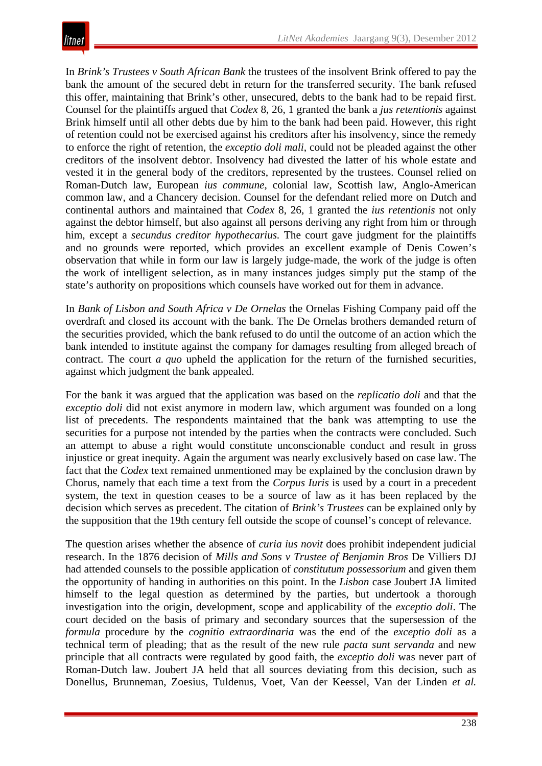In *Brink's Trustees v South African Bank* the trustees of the insolvent Brink offered to pay the bank the amount of the secured debt in return for the transferred security. The bank refused this offer, maintaining that Brink's other, unsecured, debts to the bank had to be repaid first. Counsel for the plaintiffs argued that *Codex* 8, 26, 1 granted the bank a *jus retentionis* against Brink himself until all other debts due by him to the bank had been paid. However, this right of retention could not be exercised against his creditors after his insolvency, since the remedy to enforce the right of retention, the *exceptio doli mali*, could not be pleaded against the other creditors of the insolvent debtor. Insolvency had divested the latter of his whole estate and vested it in the general body of the creditors, represented by the trustees. Counsel relied on Roman-Dutch law, European *ius commune*, colonial law, Scottish law, Anglo-American common law, and a Chancery decision. Counsel for the defendant relied more on Dutch and continental authors and maintained that *Codex* 8, 26, 1 granted the *ius retentionis* not only against the debtor himself, but also against all persons deriving any right from him or through him, except a *secundus creditor hypothecarius.* The court gave judgment for the plaintiffs and no grounds were reported, which provides an excellent example of Denis Cowen's observation that while in form our law is largely judge-made, the work of the judge is often the work of intelligent selection, as in many instances judges simply put the stamp of the state's authority on propositions which counsels have worked out for them in advance.

In *Bank of Lisbon and South Africa v De Ornelas* the Ornelas Fishing Company paid off the overdraft and closed its account with the bank. The De Ornelas brothers demanded return of the securities provided, which the bank refused to do until the outcome of an action which the bank intended to institute against the company for damages resulting from alleged breach of contract. The court *a quo* upheld the application for the return of the furnished securities, against which judgment the bank appealed.

For the bank it was argued that the application was based on the *replicatio doli* and that the *exceptio doli* did not exist anymore in modern law, which argument was founded on a long list of precedents. The respondents maintained that the bank was attempting to use the securities for a purpose not intended by the parties when the contracts were concluded. Such an attempt to abuse a right would constitute unconscionable conduct and result in gross injustice or great inequity. Again the argument was nearly exclusively based on case law. The fact that the *Codex* text remained unmentioned may be explained by the conclusion drawn by Chorus, namely that each time a text from the *Corpus Iuris* is used by a court in a precedent system, the text in question ceases to be a source of law as it has been replaced by the decision which serves as precedent. The citation of *Brink's Trustees* can be explained only by the supposition that the 19th century fell outside the scope of counsel's concept of relevance.

The question arises whether the absence of *curia ius novit* does prohibit independent judicial research. In the 1876 decision of *Mills and Sons v Trustee of Benjamin Bros* De Villiers DJ had attended counsels to the possible application of *constitutum possessorium* and given them the opportunity of handing in authorities on this point. In the *Lisbon* case Joubert JA limited himself to the legal question as determined by the parties, but undertook a thorough investigation into the origin, development, scope and applicability of the *exceptio doli*. The court decided on the basis of primary and secondary sources that the supersession of the *formula* procedure by the *cognitio extraordinaria* was the end of the *exceptio doli* as a technical term of pleading; that as the result of the new rule *pacta sunt servanda* and new principle that all contracts were regulated by good faith, the *exceptio doli* was never part of Roman-Dutch law. Joubert JA held that all sources deviating from this decision, such as Donellus, Brunneman, Zoesius, Tuldenus, Voet, Van der Keessel, Van der Linden *et al.*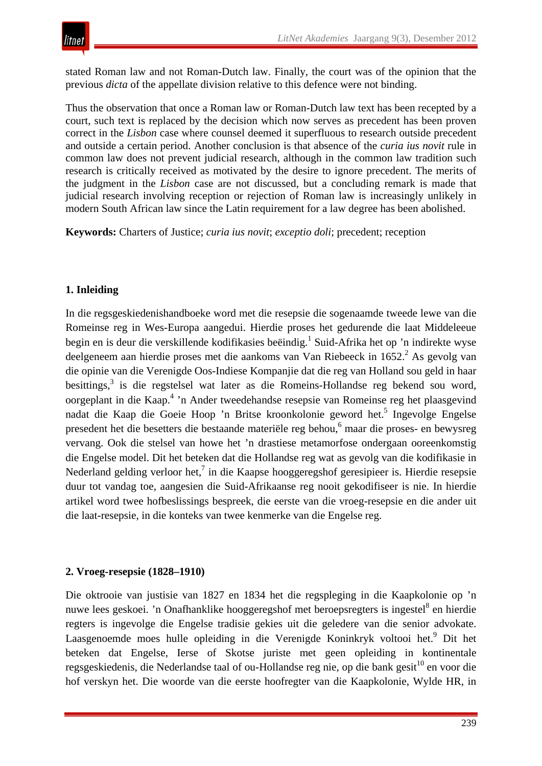stated Roman law and not Roman-Dutch law. Finally, the court was of the opinion that the previous *dicta* of the appellate division relative to this defence were not binding.

Thus the observation that once a Roman law or Roman-Dutch law text has been recepted by a court, such text is replaced by the decision which now serves as precedent has been proven correct in the *Lisbon* case where counsel deemed it superfluous to research outside precedent and outside a certain period. Another conclusion is that absence of the *curia ius novit* rule in common law does not prevent judicial research, although in the common law tradition such research is critically received as motivated by the desire to ignore precedent. The merits of the judgment in the *Lisbon* case are not discussed, but a concluding remark is made that judicial research involving reception or rejection of Roman law is increasingly unlikely in modern South African law since the Latin requirement for a law degree has been abolished.

**Keywords:** Charters of Justice; *curia ius novit*; *exceptio doli*; precedent; reception

### **1. Inleiding**

In die regsgeskiedenishandboeke word met die resepsie die sogenaamde tweede lewe van die Romeinse reg in Wes-Europa aangedui. Hierdie proses het gedurende die laat Middeleeue begin en is deur die verskillende kodifikasies beëindig.<sup>1</sup> Suid-Afrika het op 'n indirekte wyse deelgeneem aan hierdie proses met die aankoms van Van Riebeeck in  $1652<sup>2</sup>$  As gevolg van die opinie van die Verenigde Oos-Indiese Kompanjie dat die reg van Holland sou geld in haar besittings,<sup>3</sup> is die regstelsel wat later as die Romeins-Hollandse reg bekend sou word, oorgeplant in die Kaap.4 'n Ander tweedehandse resepsie van Romeinse reg het plaasgevind nadat die Kaap die Goeie Hoop 'n Britse kroonkolonie geword het.<sup>5</sup> Ingevolge Engelse presedent het die besetters die bestaande materiële reg behou,6 maar die proses- en bewysreg vervang. Ook die stelsel van howe het 'n drastiese metamorfose ondergaan ooreenkomstig die Engelse model. Dit het beteken dat die Hollandse reg wat as gevolg van die kodifikasie in Nederland gelding verloor het,<sup>7</sup> in die Kaapse hooggeregshof geresipieer is. Hierdie resepsie duur tot vandag toe, aangesien die Suid-Afrikaanse reg nooit gekodifiseer is nie. In hierdie artikel word twee hofbeslissings bespreek, die eerste van die vroeg-resepsie en die ander uit die laat-resepsie, in die konteks van twee kenmerke van die Engelse reg.

#### **2. Vroeg-resepsie (1828–1910)**

Die oktrooie van justisie van 1827 en 1834 het die regspleging in die Kaapkolonie op 'n nuwe lees geskoei. 'n Onafhanklike hooggeregshof met beroepsregters is ingestel<sup>8</sup> en hierdie regters is ingevolge die Engelse tradisie gekies uit die geledere van die senior advokate. Laasgenoemde moes hulle opleiding in die Verenigde Koninkryk voltooi het.<sup>9</sup> Dit het beteken dat Engelse, Ierse of Skotse juriste met geen opleiding in kontinentale regsgeskiedenis, die Nederlandse taal of ou-Hollandse reg nie, op die bank gesit<sup>10</sup> en voor die hof verskyn het. Die woorde van die eerste hoofregter van die Kaapkolonie, Wylde HR, in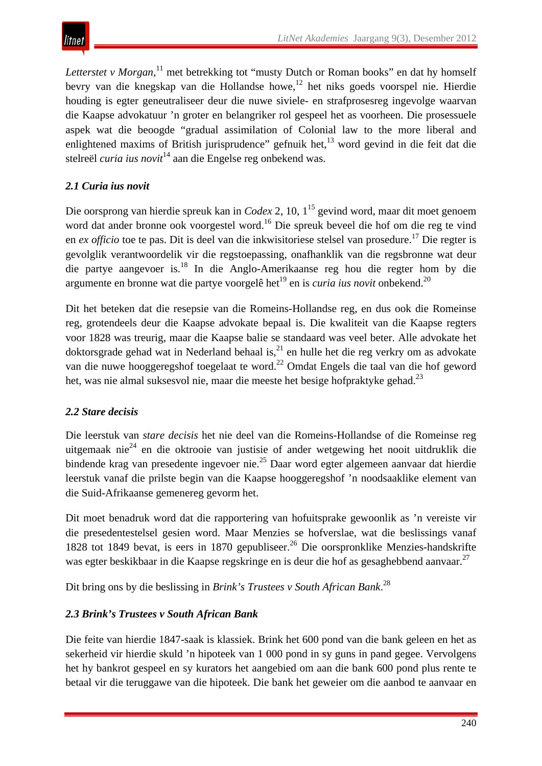Letterstet v Morgan,<sup>11</sup> met betrekking tot "musty Dutch or Roman books" en dat hy homself bevry van die knegskap van die Hollandse howe,<sup>12</sup> het niks goeds voorspel nie. Hierdie houding is egter geneutraliseer deur die nuwe siviele- en strafprosesreg ingevolge waarvan die Kaapse advokatuur 'n groter en belangriker rol gespeel het as voorheen. Die prosessuele aspek wat die beoogde "gradual assimilation of Colonial law to the more liberal and enlightened maxims of British jurisprudence" gefnuik het,<sup>13</sup> word gevind in die feit dat die stelreël *curia ius novit*<sup>14</sup> aan die Engelse reg onbekend was.

### *2.1 Curia ius novit*

Die oorsprong van hierdie spreuk kan in *Codex* 2, 10, 1<sup>15</sup> gevind word, maar dit moet genoem word dat ander bronne ook voorgestel word.<sup>16</sup> Die spreuk beveel die hof om die reg te vind en *ex officio* toe te pas. Dit is deel van die inkwisitoriese stelsel van prosedure.<sup>17</sup> Die regter is gevolglik verantwoordelik vir die regstoepassing, onafhanklik van die regsbronne wat deur die partye aangevoer is.18 In die Anglo-Amerikaanse reg hou die regter hom by die argumente en bronne wat die partye voorgelê het<sup>19</sup> en is *curia ius novit* onbekend.<sup>20</sup>

Dit het beteken dat die resepsie van die Romeins-Hollandse reg, en dus ook die Romeinse reg, grotendeels deur die Kaapse advokate bepaal is. Die kwaliteit van die Kaapse regters voor 1828 was treurig, maar die Kaapse balie se standaard was veel beter. Alle advokate het doktorsgrade gehad wat in Nederland behaal is, $^{21}$  en hulle het die reg verkry om as advokate van die nuwe hooggeregshof toegelaat te word.<sup>22</sup> Omdat Engels die taal van die hof geword het, was nie almal suksesvol nie, maar die meeste het besige hofpraktyke gehad.<sup>23</sup>

# *2.2 Stare decisis*

Die leerstuk van *stare decisis* het nie deel van die Romeins-Hollandse of die Romeinse reg uitgemaak nie<sup>24</sup> en die oktrooie van justisie of ander wetgewing het nooit uitdruklik die bindende krag van presedente ingevoer nie.<sup>25</sup> Daar word egter algemeen aanvaar dat hierdie leerstuk vanaf die prilste begin van die Kaapse hooggeregshof 'n noodsaaklike element van die Suid-Afrikaanse gemenereg gevorm het.

Dit moet benadruk word dat die rapportering van hofuitsprake gewoonlik as 'n vereiste vir die presedentestelsel gesien word. Maar Menzies se hofverslae, wat die beslissings vanaf 1828 tot 1849 bevat, is eers in 1870 gepubliseer.<sup>26</sup> Die oorspronklike Menzies-handskrifte was egter beskikbaar in die Kaapse regskringe en is deur die hof as gesaghebbend aanvaar.<sup>27</sup>

Dit bring ons by die beslissing in *Brink's Trustees v South African Bank*. 28

# *2.3 Brink's Trustees v South African Bank*

Die feite van hierdie 1847-saak is klassiek. Brink het 600 pond van die bank geleen en het as sekerheid vir hierdie skuld 'n hipoteek van 1 000 pond in sy guns in pand gegee. Vervolgens het hy bankrot gespeel en sy kurators het aangebied om aan die bank 600 pond plus rente te betaal vir die teruggawe van die hipoteek. Die bank het geweier om die aanbod te aanvaar en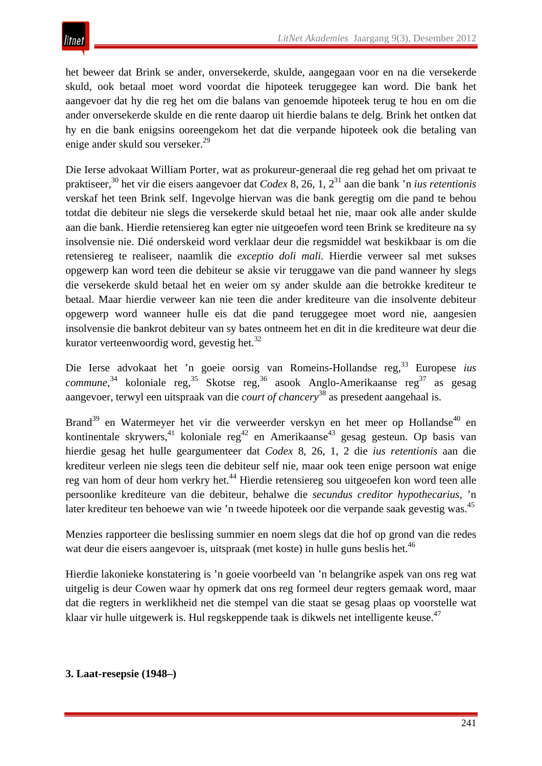het beweer dat Brink se ander, onversekerde, skulde, aangegaan voor en na die versekerde skuld, ook betaal moet word voordat die hipoteek teruggegee kan word. Die bank het aangevoer dat hy die reg het om die balans van genoemde hipoteek terug te hou en om die ander onversekerde skulde en die rente daarop uit hierdie balans te delg. Brink het ontken dat hy en die bank enigsins ooreengekom het dat die verpande hipoteek ook die betaling van enige ander skuld sou verseker.<sup>29</sup>

Die Ierse advokaat William Porter, wat as prokureur-generaal die reg gehad het om privaat te praktiseer,<sup>30</sup> het vir die eisers aangevoer dat *Codex* 8, 26, 1, 231 aan die bank 'n *ius retentionis* verskaf het teen Brink self. Ingevolge hiervan was die bank geregtig om die pand te behou totdat die debiteur nie slegs die versekerde skuld betaal het nie, maar ook alle ander skulde aan die bank. Hierdie retensiereg kan egter nie uitgeoefen word teen Brink se krediteure na sy insolvensie nie. Dié onderskeid word verklaar deur die regsmiddel wat beskikbaar is om die retensiereg te realiseer, naamlik die *exceptio doli mali.* Hierdie verweer sal met sukses opgewerp kan word teen die debiteur se aksie vir teruggawe van die pand wanneer hy slegs die versekerde skuld betaal het en weier om sy ander skulde aan die betrokke krediteur te betaal. Maar hierdie verweer kan nie teen die ander krediteure van die insolvente debiteur opgewerp word wanneer hulle eis dat die pand teruggegee moet word nie, aangesien insolvensie die bankrot debiteur van sy bates ontneem het en dit in die krediteure wat deur die kurator verteenwoordig word, gevestig het. $32$ 

Die Ierse advokaat het 'n goeie oorsig van Romeins-Hollandse reg,33 Europese *ius*  commune,<sup>34</sup> koloniale reg,<sup>35</sup> Skotse reg,<sup>36</sup> asook Anglo-Amerikaanse reg<sup>37</sup> as gesag aangevoer, terwyl een uitspraak van die *court of chancery*<sup>38</sup> as presedent aangehaal is.

Brand<sup>39</sup> en Watermeyer het vir die verweerder verskyn en het meer op Hollandse<sup>40</sup> en kontinentale skrywers,<sup>41</sup> koloniale reg<sup>42</sup> en Amerikaanse<sup>43</sup> gesag gesteun. Op basis van hierdie gesag het hulle geargumenteer dat *Codex* 8, 26, 1, 2 die *ius retentionis* aan die krediteur verleen nie slegs teen die debiteur self nie, maar ook teen enige persoon wat enige reg van hom of deur hom verkry het.<sup>44</sup> Hierdie retensiereg sou uitgeoefen kon word teen alle persoonlike krediteure van die debiteur, behalwe die *secundus creditor hypothecarius*, 'n later krediteur ten behoewe van wie 'n tweede hipoteek oor die verpande saak gevestig was.<sup>45</sup>

Menzies rapporteer die beslissing summier en noem slegs dat die hof op grond van die redes wat deur die eisers aangevoer is, uitspraak (met koste) in hulle guns beslis het.<sup>46</sup>

Hierdie lakonieke konstatering is 'n goeie voorbeeld van 'n belangrike aspek van ons reg wat uitgelig is deur Cowen waar hy opmerk dat ons reg formeel deur regters gemaak word, maar dat die regters in werklikheid net die stempel van die staat se gesag plaas op voorstelle wat klaar vir hulle uitgewerk is. Hul regskeppende taak is dikwels net intelligente keuse.<sup>47</sup>

#### **3. Laat-resepsie (1948–)**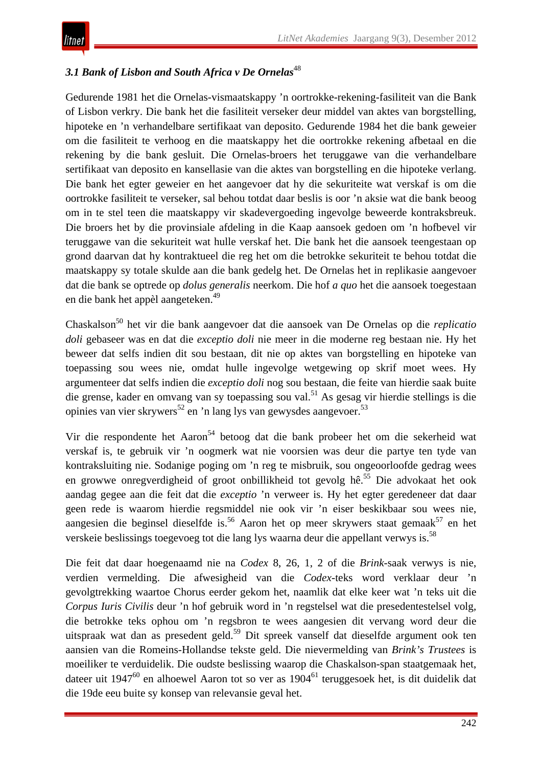### 3.1 *Bank of Lisbon and South Africa v De Ornelas*<sup>48</sup>

Gedurende 1981 het die Ornelas-vismaatskappy 'n oortrokke-rekening-fasiliteit van die Bank of Lisbon verkry. Die bank het die fasiliteit verseker deur middel van aktes van borgstelling, hipoteke en 'n verhandelbare sertifikaat van deposito. Gedurende 1984 het die bank geweier om die fasiliteit te verhoog en die maatskappy het die oortrokke rekening afbetaal en die rekening by die bank gesluit. Die Ornelas-broers het teruggawe van die verhandelbare sertifikaat van deposito en kansellasie van die aktes van borgstelling en die hipoteke verlang. Die bank het egter geweier en het aangevoer dat hy die sekuriteite wat verskaf is om die oortrokke fasiliteit te verseker, sal behou totdat daar beslis is oor 'n aksie wat die bank beoog om in te stel teen die maatskappy vir skadevergoeding ingevolge beweerde kontraksbreuk. Die broers het by die provinsiale afdeling in die Kaap aansoek gedoen om 'n hofbevel vir teruggawe van die sekuriteit wat hulle verskaf het. Die bank het die aansoek teengestaan op grond daarvan dat hy kontraktueel die reg het om die betrokke sekuriteit te behou totdat die maatskappy sy totale skulde aan die bank gedelg het. De Ornelas het in replikasie aangevoer dat die bank se optrede op *dolus generalis* neerkom. Die hof *a quo* het die aansoek toegestaan en die bank het appèl aangeteken.<sup>49</sup>

Chaskalson<sup>50</sup> het vir die bank aangevoer dat die aansoek van De Ornelas op die *replicatio doli* gebaseer was en dat die *exceptio doli* nie meer in die moderne reg bestaan nie. Hy het beweer dat selfs indien dit sou bestaan, dit nie op aktes van borgstelling en hipoteke van toepassing sou wees nie, omdat hulle ingevolge wetgewing op skrif moet wees. Hy argumenteer dat selfs indien die *exceptio doli* nog sou bestaan, die feite van hierdie saak buite die grense, kader en omvang van sy toepassing sou val.51 As gesag vir hierdie stellings is die opinies van vier skrywers<sup>52</sup> en 'n lang lys van gewysdes aangevoer.<sup>53</sup>

Vir die respondente het Aaron<sup>54</sup> betoog dat die bank probeer het om die sekerheid wat verskaf is, te gebruik vir 'n oogmerk wat nie voorsien was deur die partye ten tyde van kontraksluiting nie. Sodanige poging om 'n reg te misbruik, sou ongeoorloofde gedrag wees en growwe onregverdigheid of groot onbillikheid tot gevolg hê.<sup>55</sup> Die advokaat het ook aandag gegee aan die feit dat die *exceptio* 'n verweer is. Hy het egter geredeneer dat daar geen rede is waarom hierdie regsmiddel nie ook vir 'n eiser beskikbaar sou wees nie, aangesien die beginsel dieselfde is.<sup>56</sup> Aaron het op meer skrywers staat gemaak<sup>57</sup> en het verskeie beslissings toegevoeg tot die lang lys waarna deur die appellant verwys is.<sup>58</sup>

Die feit dat daar hoegenaamd nie na *Codex* 8, 26, 1, 2 of die *Brink*-saak verwys is nie, verdien vermelding. Die afwesigheid van die *Codex*-teks word verklaar deur 'n gevolgtrekking waartoe Chorus eerder gekom het, naamlik dat elke keer wat 'n teks uit die *Corpus Iuris Civilis* deur 'n hof gebruik word in 'n regstelsel wat die presedentestelsel volg, die betrokke teks ophou om 'n regsbron te wees aangesien dit vervang word deur die uitspraak wat dan as presedent geld.<sup>59</sup> Dit spreek vanself dat dieselfde argument ook ten aansien van die Romeins-Hollandse tekste geld. Die nievermelding van *Brink's Trustees* is moeiliker te verduidelik. Die oudste beslissing waarop die Chaskalson-span staatgemaak het, dateer uit 1947<sup>60</sup> en alhoewel Aaron tot so ver as 1904<sup>61</sup> teruggesoek het, is dit duidelik dat die 19de eeu buite sy konsep van relevansie geval het.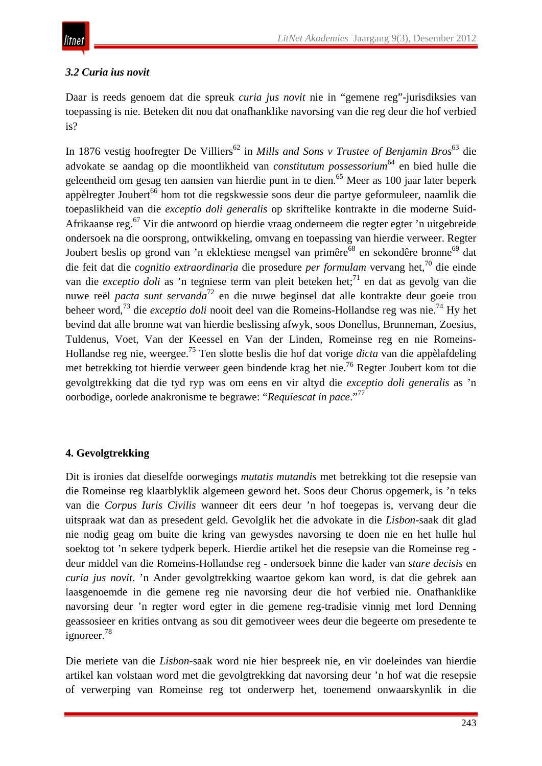# *3.2 Curia ius novit*

Daar is reeds genoem dat die spreuk *curia jus novit* nie in "gemene reg"-jurisdiksies van toepassing is nie. Beteken dit nou dat onafhanklike navorsing van die reg deur die hof verbied is?

In 1876 vestig hoofregter De Villiers<sup>62</sup> in *Mills and Sons v Trustee of Benjamin Bros*<sup>63</sup> die advokate se aandag op die moontlikheid van *constitutum possessorium*<sup>64</sup> en bied hulle die geleentheid om gesag ten aansien van hierdie punt in te dien.<sup>65</sup> Meer as 100 jaar later beperk appèlregter Joubert<sup>66</sup> hom tot die regskwessie soos deur die partye geformuleer, naamlik die toepaslikheid van die *exceptio doli generalis* op skriftelike kontrakte in die moderne Suid-Afrikaanse reg.67 Vir die antwoord op hierdie vraag onderneem die regter egter 'n uitgebreide ondersoek na die oorsprong, ontwikkeling, omvang en toepassing van hierdie verweer. Regter Joubert beslis op grond van 'n eklektiese mengsel van primêre<sup>68</sup> en sekondêre bronne<sup>69</sup> dat die feit dat die *cognitio extraordinaria* die prosedure *per formulam* vervang het,<sup>70</sup> die einde van die *exceptio doli* as 'n tegniese term van pleit beteken het;<sup>71</sup> en dat as gevolg van die nuwe reël *pacta sunt servanda*<sup>72</sup> en die nuwe beginsel dat alle kontrakte deur goeie trou beheer word,73 die *exceptio doli* nooit deel van die Romeins-Hollandse reg was nie.74 Hy het bevind dat alle bronne wat van hierdie beslissing afwyk, soos Donellus, Brunneman, Zoesius, Tuldenus, Voet, Van der Keessel en Van der Linden, Romeinse reg en nie Romeins-Hollandse reg nie, weergee.75 Ten slotte beslis die hof dat vorige *dicta* van die appèlafdeling met betrekking tot hierdie verweer geen bindende krag het nie.76 Regter Joubert kom tot die gevolgtrekking dat die tyd ryp was om eens en vir altyd die *exceptio doli generalis* as 'n oorbodige, oorlede anakronisme te begrawe: "*Requiescat in pace*."<sup>77</sup>

# **4. Gevolgtrekking**

Dit is ironies dat dieselfde oorwegings *mutatis mutandis* met betrekking tot die resepsie van die Romeinse reg klaarblyklik algemeen geword het. Soos deur Chorus opgemerk, is 'n teks van die *Corpus Iuris Civilis* wanneer dit eers deur 'n hof toegepas is, vervang deur die uitspraak wat dan as presedent geld. Gevolglik het die advokate in die *Lisbon*-saak dit glad nie nodig geag om buite die kring van gewysdes navorsing te doen nie en het hulle hul soektog tot 'n sekere tydperk beperk. Hierdie artikel het die resepsie van die Romeinse reg deur middel van die Romeins-Hollandse reg - ondersoek binne die kader van *stare decisis* en *curia jus novit*. 'n Ander gevolgtrekking waartoe gekom kan word, is dat die gebrek aan laasgenoemde in die gemene reg nie navorsing deur die hof verbied nie. Onafhanklike navorsing deur 'n regter word egter in die gemene reg-tradisie vinnig met lord Denning geassosieer en krities ontvang as sou dit gemotiveer wees deur die begeerte om presedente te ignoreer.<sup>78</sup>

Die meriete van die *Lisbon*-saak word nie hier bespreek nie, en vir doeleindes van hierdie artikel kan volstaan word met die gevolgtrekking dat navorsing deur 'n hof wat die resepsie of verwerping van Romeinse reg tot onderwerp het, toenemend onwaarskynlik in die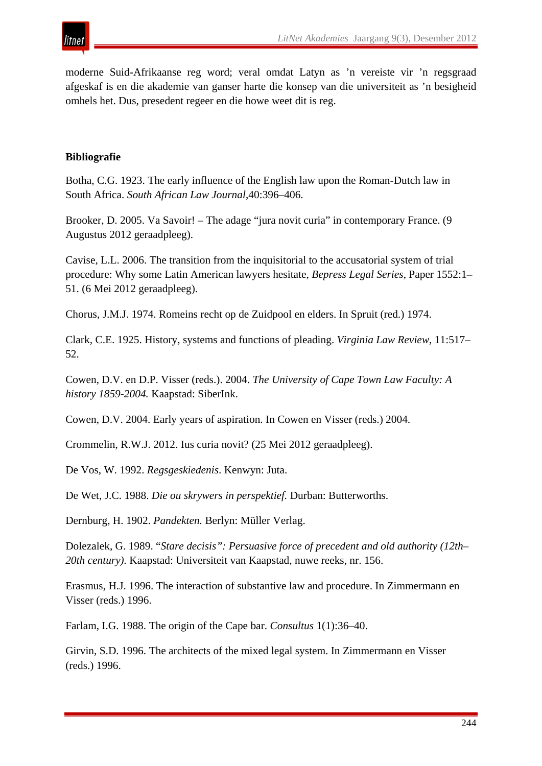

moderne Suid-Afrikaanse reg word; veral omdat Latyn as 'n vereiste vir 'n regsgraad afgeskaf is en die akademie van ganser harte die konsep van die universiteit as 'n besigheid omhels het. Dus, presedent regeer en die howe weet dit is reg.

#### **Bibliografie**

Botha, C.G. 1923. The early influence of the English law upon the Roman-Dutch law in South Africa. *South African Law Journal*,40:396–406.

Brooker, D. 2005. Va Savoir! – The adage "jura novit curia" in contemporary France. (9 Augustus 2012 geraadpleeg).

Cavise, L.L. 2006. The transition from the inquisitorial to the accusatorial system of trial procedure: Why some Latin American lawyers hesitate, *Bepress Legal Series*, Paper 1552:1– 51. (6 Mei 2012 geraadpleeg).

Chorus, J.M.J. 1974. Romeins recht op de Zuidpool en elders. In Spruit (red.) 1974.

Clark, C.E. 1925. History, systems and functions of pleading. *Virginia Law Review*, 11:517– 52.

Cowen, D.V. en D.P. Visser (reds.). 2004. *The University of Cape Town Law Faculty: A history 1859-2004.* Kaapstad: SiberInk.

Cowen, D.V. 2004. Early years of aspiration. In Cowen en Visser (reds.) 2004.

Crommelin, R.W.J. 2012. Ius curia novit? (25 Mei 2012 geraadpleeg).

De Vos, W. 1992. *Regsgeskiedenis*. Kenwyn: Juta.

De Wet, J.C. 1988. *Die ou skrywers in perspektief.* Durban: Butterworths.

Dernburg, H. 1902. *Pandekten.* Berlyn: Müller Verlag.

Dolezalek, G. 1989. "*Stare decisis": Persuasive force of precedent and old authority (12th– 20th century).* Kaapstad: Universiteit van Kaapstad, nuwe reeks, nr. 156.

Erasmus, H.J. 1996. The interaction of substantive law and procedure. In Zimmermann en Visser (reds.) 1996.

Farlam, I.G. 1988. The origin of the Cape bar. *Consultus* 1(1):36–40.

Girvin, S.D. 1996. The architects of the mixed legal system. In Zimmermann en Visser (reds.) 1996.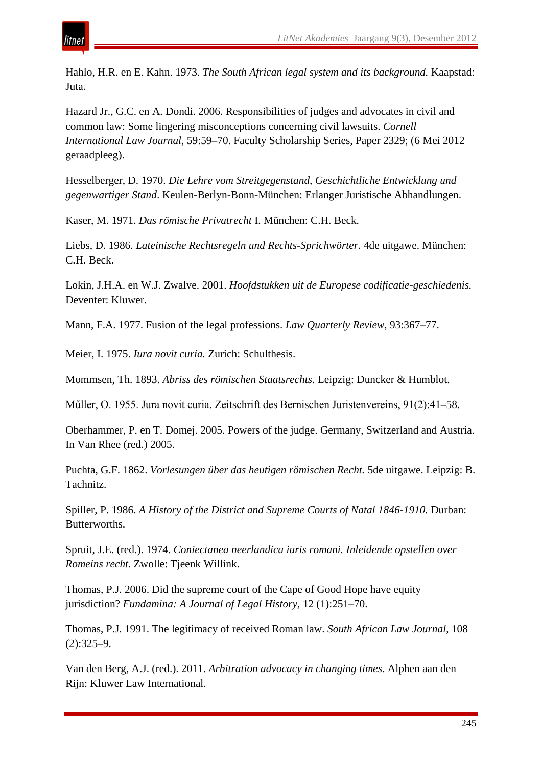Hahlo, H.R. en E. Kahn. 1973. *The South African legal system and its background.* Kaapstad: Juta.

Hazard Jr., G.C. en A. Dondi. 2006. Responsibilities of judges and advocates in civil and common law: Some lingering misconceptions concerning civil lawsuits. *Cornell International Law Journal*, 59:59–70. Faculty Scholarship Series, Paper 2329; (6 Mei 2012 geraadpleeg).

Hesselberger, D. 1970. *Die Lehre vom Streitgegenstand, Geschichtliche Entwicklung und gegenwartiger Stand*. Keulen-Berlyn-Bonn-München: Erlanger Juristische Abhandlungen.

Kaser, M. 1971. *Das römische Privatrecht* I. München: C.H. Beck.

Liebs, D. 1986. *Lateinische Rechtsregeln und Rechts-Sprichwörter.* 4de uitgawe. München: C.H. Beck.

Lokin, J.H.A. en W.J. Zwalve. 2001. *Hoofdstukken uit de Europese codificatie-geschiedenis.*  Deventer: Kluwer.

Mann, F.A. 1977. Fusion of the legal professions. *Law Quarterly Review*, 93:367–77.

Meier, I. 1975. *Iura novit curia.* Zurich: Schulthesis.

Mommsen, Th. 1893. *Abriss des römischen Staatsrechts.* Leipzig: Duncker & Humblot.

Műller, O. 1955. Jura novit curia. Zeitschrift des Bernischen Juristenvereins, 91(2):41–58.

Oberhammer, P. en T. Domej. 2005. Powers of the judge. Germany, Switzerland and Austria. In Van Rhee (red.) 2005.

Puchta, G.F. 1862. *Vorlesungen über das heutigen römischen Recht.* 5de uitgawe. Leipzig: B. Tachnitz.

Spiller, P. 1986. *A History of the District and Supreme Courts of Natal 1846-1910.* Durban: Butterworths.

Spruit, J.E. (red.). 1974. *Coniectanea neerlandica iuris romani. Inleidende opstellen over Romeins recht.* Zwolle: Tjeenk Willink.

Thomas, P.J. 2006. Did the supreme court of the Cape of Good Hope have equity jurisdiction? *Fundamina: A Journal of Legal History,* 12 (1):251–70.

Thomas, P.J. 1991. The legitimacy of received Roman law. *South African Law Journal*, 108 (2):325–9.

Van den Berg, A.J. (red.). 2011. *Arbitration advocacy in changing times*. Alphen aan den Rijn: Kluwer Law International.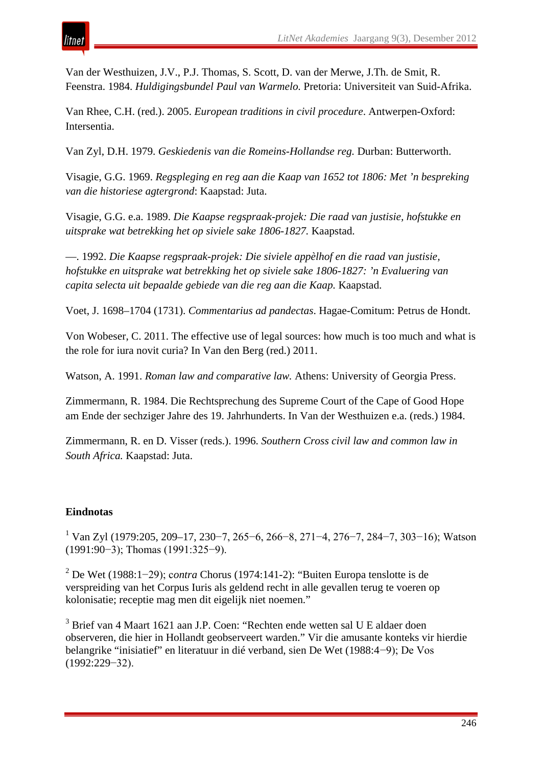Van der Westhuizen, J.V., P.J. Thomas, S. Scott, D. van der Merwe, J.Th. de Smit, R. Feenstra. 1984. *Huldigingsbundel Paul van Warmelo.* Pretoria: Universiteit van Suid-Afrika.

Van Rhee, C.H. (red.). 2005. *European traditions in civil procedure*. Antwerpen-Oxford: Intersentia.

Van Zyl, D.H. 1979. *Geskiedenis van die Romeins-Hollandse reg.* Durban: Butterworth.

Visagie, G.G. 1969. *Regspleging en reg aan die Kaap van 1652 tot 1806: Met 'n bespreking van die historiese agtergrond*: Kaapstad: Juta.

Visagie, G.G. e.a. 1989. *Die Kaapse regspraak-projek: Die raad van justisie, hofstukke en uitsprake wat betrekking het op siviele sake 1806-1827.* Kaapstad.

—. 1992. *Die Kaapse regspraak-projek: Die siviele appèlhof en die raad van justisie, hofstukke en uitsprake wat betrekking het op siviele sake 1806-1827: 'n Evaluering van capita selecta uit bepaalde gebiede van die reg aan die Kaap.* Kaapstad.

Voet, J. 1698–1704 (1731). *Commentarius ad pandectas*. Hagae-Comitum: Petrus de Hondt.

Von Wobeser, C. 2011. The effective use of legal sources: how much is too much and what is the role for iura novit curia? In Van den Berg (red.) 2011.

Watson, A. 1991. *Roman law and comparative law.* Athens: University of Georgia Press.

Zimmermann, R. 1984. Die Rechtsprechung des Supreme Court of the Cape of Good Hope am Ende der sechziger Jahre des 19. Jahrhunderts. In Van der Westhuizen e.a. (reds.) 1984.

Zimmermann, R. en D. Visser (reds.). 1996. *Southern Cross civil law and common law in South Africa.* Kaapstad: Juta.

# **Eindnotas**

<sup>1</sup> Van Zyl (1979:205, 209–17, 230−7, 265−6, 266−8, 271−4, 276−7, 284−7, 303−16); Watson (1991:90−3); Thomas (1991:325−9).

<sup>2</sup> De Wet (1988:1−29); c*ontra* Chorus (1974:141-2): "Buiten Europa tenslotte is de verspreiding van het Corpus Iuris als geldend recht in alle gevallen terug te voeren op kolonisatie; receptie mag men dit eigelijk niet noemen."

<sup>3</sup> Brief van 4 Maart 1621 aan J.P. Coen: "Rechten ende wetten sal U E aldaer doen observeren, die hier in Hollandt geobserveert warden." Vir die amusante konteks vir hierdie belangrike "inisiatief" en literatuur in dié verband, sien De Wet (1988:4−9); De Vos (1992:229−32).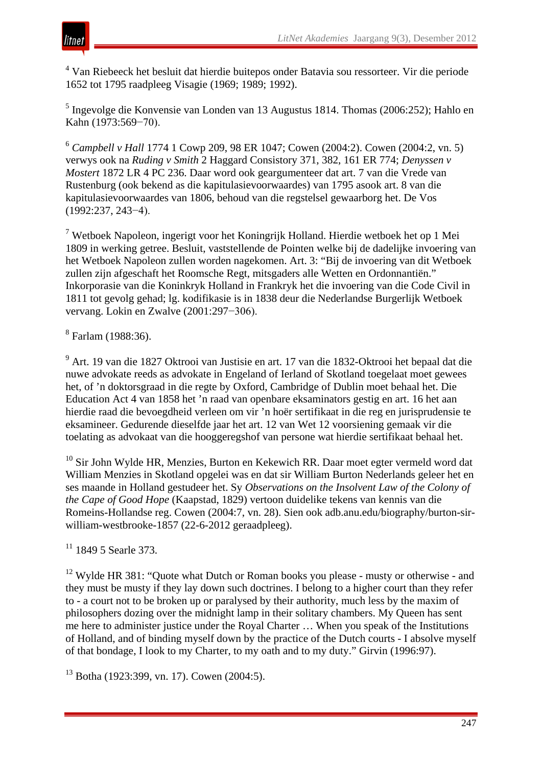<sup>4</sup> Van Riebeeck het besluit dat hierdie buitepos onder Batavia sou ressorteer. Vir die periode 1652 tot 1795 raadpleeg Visagie (1969; 1989; 1992).

<sup>5</sup> Ingevolge die Konvensie van Londen van 13 Augustus 1814. Thomas (2006:252); Hahlo en Kahn (1973:569−70).

<sup>6</sup> *Campbell v Hall* 1774 1 Cowp 209, 98 ER 1047; Cowen (2004:2). Cowen (2004:2, vn. 5) verwys ook na *Ruding v Smith* 2 Haggard Consistory 371, 382, 161 ER 774; *Denyssen v Mostert* 1872 LR 4 PC 236. Daar word ook geargumenteer dat art. 7 van die Vrede van Rustenburg (ook bekend as die kapitulasievoorwaardes) van 1795 asook art. 8 van die kapitulasievoorwaardes van 1806, behoud van die regstelsel gewaarborg het. De Vos (1992:237, 243−4).

<sup>7</sup> Wetboek Napoleon, ingerigt voor het Koningrijk Holland. Hierdie wetboek het op 1 Mei 1809 in werking getree. Besluit, vaststellende de Pointen welke bij de dadelijke invoering van het Wetboek Napoleon zullen worden nagekomen. Art. 3: "Bij de invoering van dit Wetboek zullen zijn afgeschaft het Roomsche Regt, mitsgaders alle Wetten en Ordonnantiën." Inkorporasie van die Koninkryk Holland in Frankryk het die invoering van die Code Civil in 1811 tot gevolg gehad; lg. kodifikasie is in 1838 deur die Nederlandse Burgerlijk Wetboek vervang. Lokin en Zwalve (2001:297−306).

<sup>8</sup> Farlam (1988:36).

<sup>9</sup> Art. 19 van die 1827 Oktrooi van Justisie en art. 17 van die 1832-Oktrooi het bepaal dat die nuwe advokate reeds as advokate in Engeland of Ierland of Skotland toegelaat moet gewees het, of 'n doktorsgraad in die regte by Oxford, Cambridge of Dublin moet behaal het. Die Education Act 4 van 1858 het 'n raad van openbare eksaminators gestig en art. 16 het aan hierdie raad die bevoegdheid verleen om vir 'n hoër sertifikaat in die reg en jurisprudensie te eksamineer. Gedurende dieselfde jaar het art. 12 van Wet 12 voorsiening gemaak vir die toelating as advokaat van die hooggeregshof van persone wat hierdie sertifikaat behaal het.

 $10$  Sir John Wylde HR, Menzies, Burton en Kekewich RR. Daar moet egter vermeld word dat William Menzies in Skotland opgelei was en dat sir William Burton Nederlands geleer het en ses maande in Holland gestudeer het. Sy *Observations on the Insolvent Law of the Colony of the Cape of Good Hope* (Kaapstad, 1829) vertoon duidelike tekens van kennis van die Romeins-Hollandse reg. Cowen (2004:7, vn. 28). Sien ook adb.anu.edu/biography/burton-sirwilliam-westbrooke-1857 (22-6-2012 geraadpleeg).

<sup>11</sup> 1849 5 Searle 373.

 $12$  Wylde HR 381: "Quote what Dutch or Roman books you please - musty or otherwise - and they must be musty if they lay down such doctrines. I belong to a higher court than they refer to - a court not to be broken up or paralysed by their authority, much less by the maxim of philosophers dozing over the midnight lamp in their solitary chambers. My Queen has sent me here to administer justice under the Royal Charter … When you speak of the Institutions of Holland, and of binding myself down by the practice of the Dutch courts - I absolve myself of that bondage, I look to my Charter, to my oath and to my duty." Girvin (1996:97).

<sup>13</sup> Botha (1923:399, vn. 17). Cowen (2004:5).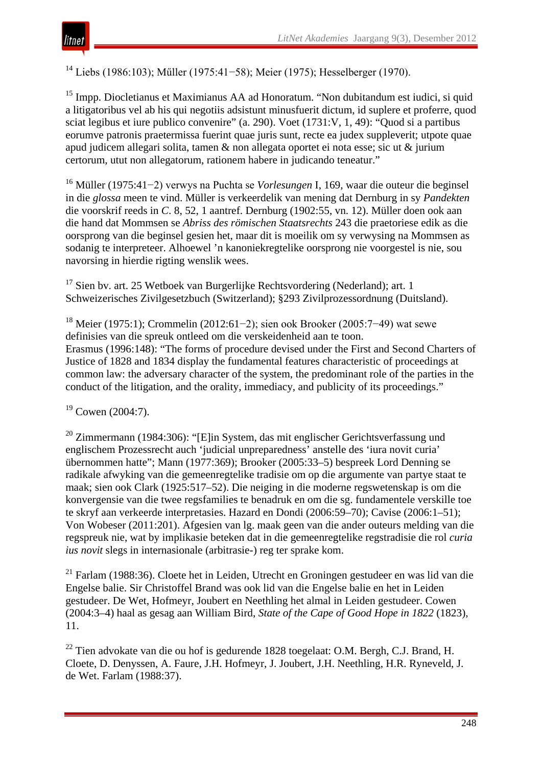<sup>14</sup> Liebs (1986:103); Műller (1975:41−58); Meier (1975); Hesselberger (1970).

<sup>15</sup> Impp. Diocletianus et Maximianus AA ad Honoratum. "Non dubitandum est iudici, si quid a litigatoribus vel ab his qui negotiis adsistunt minusfuerit dictum, id suplere et proferre, quod sciat legibus et iure publico convenire" (a. 290). Voet (1731:V, 1, 49): "Quod si a partibus eorumve patronis praetermissa fuerint quae juris sunt, recte ea judex suppleverit; utpote quae apud judicem allegari solita, tamen & non allegata oportet ei nota esse; sic ut & jurium certorum, utut non allegatorum, rationem habere in judicando teneatur."

<sup>16</sup> Müller (1975:41−2) verwys na Puchta se *Vorlesungen* I, 169, waar die outeur die beginsel in die *glossa* meen te vind. Müller is verkeerdelik van mening dat Dernburg in sy *Pandekten* die voorskrif reeds in *C*. 8, 52, 1 aantref. Dernburg (1902:55, vn. 12). Müller doen ook aan die hand dat Mommsen se *Abriss des römischen Staatsrechts* 243 die praetoriese edik as die oorsprong van die beginsel gesien het, maar dit is moeilik om sy verwysing na Mommsen as sodanig te interpreteer. Alhoewel 'n kanoniekregtelike oorsprong nie voorgestel is nie, sou navorsing in hierdie rigting wenslik wees.

 $17$  Sien by. art. 25 Wetboek van Burgerlijke Rechtsvordering (Nederland); art. 1 Schweizerisches Zivilgesetzbuch (Switzerland); §293 Zivilprozessordnung (Duitsland).

<sup>18</sup> Meier (1975:1); Crommelin (2012:61−2); sien ook Brooker (2005:7−49) wat sewe definisies van die spreuk ontleed om die verskeidenheid aan te toon. Erasmus (1996:148): "The forms of procedure devised under the First and Second Charters of Justice of 1828 and 1834 display the fundamental features characteristic of proceedings at common law: the adversary character of the system, the predominant role of the parties in the conduct of the litigation, and the orality, immediacy, and publicity of its proceedings."

 $19$  Cowen (2004:7).

<sup>20</sup> Zimmermann (1984:306): "[E]in System, das mit englischer Gerichtsverfassung und englischem Prozessrecht auch 'judicial unpreparedness' anstelle des 'iura novit curia' übernommen hatte"; Mann (1977:369); Brooker (2005:33–5) bespreek Lord Denning se radikale afwyking van die gemeenregtelike tradisie om op die argumente van partye staat te maak; sien ook Clark (1925:517–52). Die neiging in die moderne regswetenskap is om die konvergensie van die twee regsfamilies te benadruk en om die sg. fundamentele verskille toe te skryf aan verkeerde interpretasies. Hazard en Dondi (2006:59–70); Cavise (2006:1–51); Von Wobeser (2011:201). Afgesien van lg. maak geen van die ander outeurs melding van die regspreuk nie, wat by implikasie beteken dat in die gemeenregtelike regstradisie die rol *curia ius novit* slegs in internasionale (arbitrasie-) reg ter sprake kom.

<sup>21</sup> Farlam (1988:36). Cloete het in Leiden, Utrecht en Groningen gestudeer en was lid van die Engelse balie. Sir Christoffel Brand was ook lid van die Engelse balie en het in Leiden gestudeer. De Wet, Hofmeyr, Joubert en Neethling het almal in Leiden gestudeer. Cowen (2004:3–4) haal as gesag aan William Bird, *State of the Cape of Good Hope in 1822* (1823), 11.

<sup>22</sup> Tien advokate van die ou hof is gedurende 1828 toegelaat: O.M. Bergh, C.J. Brand, H. Cloete, D. Denyssen, A. Faure, J.H. Hofmeyr, J. Joubert, J.H. Neethling, H.R. Ryneveld, J. de Wet. Farlam (1988:37).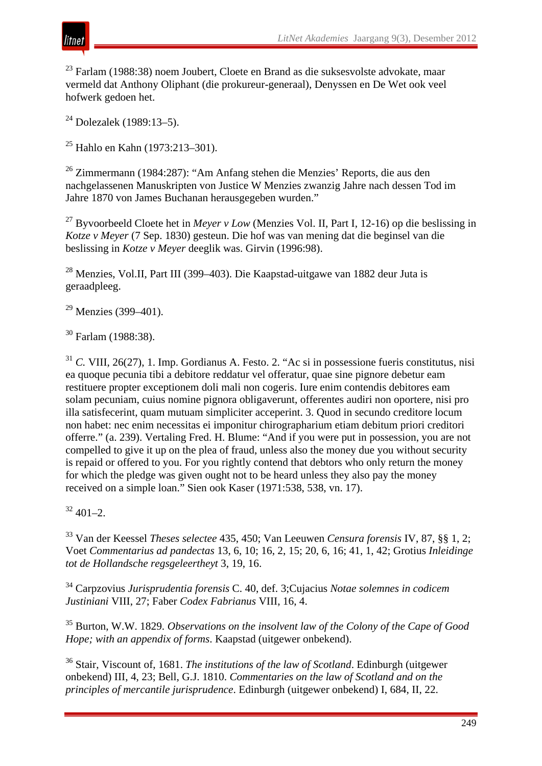



<sup>23</sup> Farlam (1988:38) noem Joubert, Cloete en Brand as die suksesvolste advokate, maar vermeld dat Anthony Oliphant (die prokureur-generaal), Denyssen en De Wet ook veel hofwerk gedoen het.

<sup>24</sup> Dolezalek (1989:13–5).

<sup>25</sup> Hahlo en Kahn (1973:213–301).

<sup>26</sup> Zimmermann (1984:287): "Am Anfang stehen die Menzies' Reports, die aus den nachgelassenen Manuskripten von Justice W Menzies zwanzig Jahre nach dessen Tod im Jahre 1870 von James Buchanan herausgegeben wurden."

<sup>27</sup> Byvoorbeeld Cloete het in *Meyer v Low* (Menzies Vol. II, Part I, 12-16) op die beslissing in *Kotze v Meyer* (7 Sep. 1830) gesteun. Die hof was van mening dat die beginsel van die beslissing in *Kotze v Meyer* deeglik was. Girvin (1996:98).

<sup>28</sup> Menzies, Vol.II, Part III (399–403). Die Kaapstad-uitgawe van 1882 deur Juta is geraadpleeg.

 $29$  Menzies (399–401).

<sup>30</sup> Farlam (1988:38).

<sup>31</sup> *C.* VIII, 26(27), 1. Imp. Gordianus A. Festo. 2. "Ac si in possessione fueris constitutus, nisi ea quoque pecunia tibi a debitore reddatur vel offeratur, quae sine pignore debetur eam restituere propter exceptionem doli mali non cogeris. Iure enim contendis debitores eam solam pecuniam, cuius nomine pignora obligaverunt, offerentes audiri non oportere, nisi pro illa satisfecerint, quam mutuam simpliciter acceperint. 3. Quod in secundo creditore locum non habet: nec enim necessitas ei imponitur chirographarium etiam debitum priori creditori offerre." (a. 239). Vertaling Fred. H. Blume: "And if you were put in possession, you are not compelled to give it up on the plea of fraud, unless also the money due you without security is repaid or offered to you. For you rightly contend that debtors who only return the money for which the pledge was given ought not to be heard unless they also pay the money received on a simple loan." Sien ook Kaser (1971:538, 538, vn. 17).

 $32\,401-2$ .

<sup>33</sup> Van der Keessel *Theses selectee* 435, 450; Van Leeuwen *Censura forensis* IV, 87, §§ 1, 2; Voet *Commentarius ad pandectas* 13, 6, 10; 16, 2, 15; 20, 6, 16; 41, 1, 42; Grotius *Inleidinge tot de Hollandsche regsgeleertheyt* 3, 19, 16.

<sup>34</sup> Carpzovius *Jurisprudentia forensis* C. 40, def. 3;Cujacius *Notae solemnes in codicem Justiniani* VIII, 27; Faber *Codex Fabrianus* VIII, 16, 4.

<sup>35</sup> Burton, W.W. 1829. *Observations on the insolvent law of the Colony of the Cape of Good Hope; with an appendix of forms*. Kaapstad (uitgewer onbekend).

<sup>36</sup> Stair, Viscount of, 1681. *The institutions of the law of Scotland*. Edinburgh (uitgewer onbekend) III, 4, 23; Bell, G.J. 1810. *Commentaries on the law of Scotland and on the principles of mercantile jurisprudence*. Edinburgh (uitgewer onbekend) I, 684, II, 22.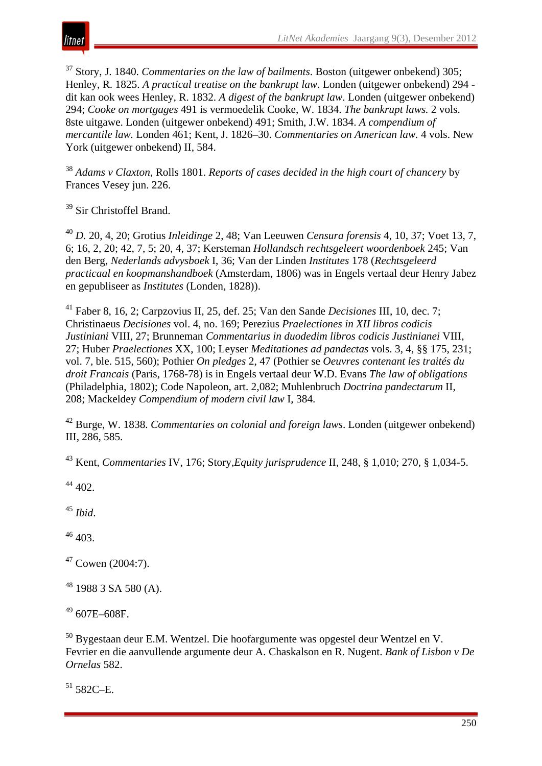

<sup>37</sup> Story, J. 1840. *Commentaries on the law of bailments*. Boston (uitgewer onbekend) 305; Henley, R. 1825. *A practical treatise on the bankrupt law*. Londen (uitgewer onbekend) 294 dit kan ook wees Henley, R. 1832. *A digest of the bankrupt law*. Londen (uitgewer onbekend) 294; *Cooke on mortgages* 491 is vermoedelik Cooke, W. 1834. *The bankrupt laws.* 2 vols. 8ste uitgawe. Londen (uitgewer onbekend) 491; Smith, J.W. 1834. *A compendium of mercantile law.* Londen 461; Kent, J. 1826–30. *Commentaries on American law.* 4 vols. New York (uitgewer onbekend) II, 584.

<sup>38</sup> *Adams v Claxton*, Rolls 1801. *Reports of cases decided in the high court of chancery* by Frances Vesey jun. 226.

<sup>39</sup> Sir Christoffel Brand.

<sup>40</sup> *D.* 20, 4, 20; Grotius *Inleidinge* 2, 48; Van Leeuwen *Censura forensis* 4, 10, 37; Voet 13, 7, 6; 16, 2, 20; 42, 7, 5; 20, 4, 37; Kersteman *Hollandsch rechtsgeleert woordenboek* 245; Van den Berg, *Nederlands advysboek* I, 36; Van der Linden *Institutes* 178 (*Rechtsgeleerd practicaal en koopmanshandboek* (Amsterdam, 1806) was in Engels vertaal deur Henry Jabez en gepubliseer as *Institutes* (Londen, 1828)).

<sup>41</sup> Faber 8, 16, 2; Carpzovius II, 25, def. 25; Van den Sande *Decisiones* III, 10, dec. 7; Christinaeus *Decisiones* vol. 4, no. 169; Perezius *Praelectiones in XII libros codicis Justiniani* VIII, 27; Brunneman *Commentarius in duodedim libros codicis Justinianei* VIII, 27; Huber *Praelectiones* XX, 100; Leyser *Meditationes ad pandectas* vols. 3, 4, §§ 175, 231; vol. 7, ble. 515, 560); Pothier *On pledges* 2, 47 (Pothier se *Oeuvres contenant les traités du droit Francais* (Paris, 1768-78) is in Engels vertaal deur W.D. Evans *The law of obligations* (Philadelphia, 1802); Code Napoleon, art. 2,082; Muhlenbruch *Doctrina pandectarum* II, 208; Mackeldey *Compendium of modern civil law* I, 384.

<sup>42</sup> Burge, W. 1838. *Commentaries on colonial and foreign laws*. Londen (uitgewer onbekend) III, 286, 585.

<sup>43</sup> Kent, *Commentaries* IV, 176; Story,*Equity jurisprudence* II, 248, § 1,010; 270, § 1,034-5.

<sup>44</sup> 402.

<sup>45</sup> *Ibid*.

<sup>46</sup> 403.

 $47$  Cowen (2004:7).

 $48$  1988 3 SA 580 (A).

 $49607E - 608F$ .

<sup>50</sup> Bygestaan deur E.M. Wentzel. Die hoofargumente was opgestel deur Wentzel en V. Fevrier en die aanvullende argumente deur A. Chaskalson en R. Nugent. *Bank of Lisbon v De Ornelas* 582.

 $51$  582C–E.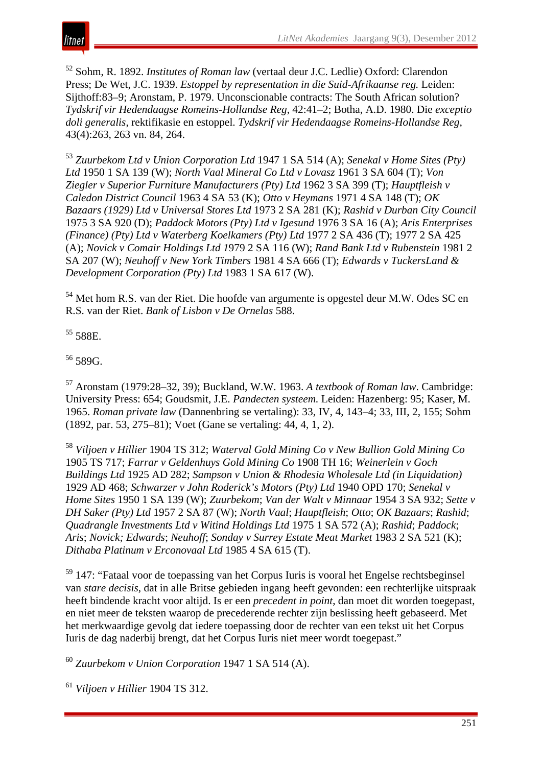

<sup>52</sup> Sohm, R. 1892. *Institutes of Roman law* (vertaal deur J.C. Ledlie) Oxford: Clarendon Press; De Wet, J.C. 1939. *Estoppel by representation in die Suid-Afrikaanse reg.* Leiden: Sijthoff:83–9; Aronstam, P. 1979. Unconscionable contracts: The South African solution? *Tydskrif vir Hedendaagse Romeins-Hollandse Reg*, 42:41–2; Botha, A.D. 1980. Die *exceptio doli generalis*, rektifikasie en estoppel. *Tydskrif vir Hedendaagse Romeins-Hollandse Reg*, 43(4):263, 263 vn. 84, 264.

<sup>53</sup> *Zuurbekom Ltd v Union Corporation Ltd* 1947 1 SA 514 (A); *Senekal v Home Sites (Pty) Ltd* 1950 1 SA 139 (W); *North Vaal Mineral Co Ltd v Lovasz* 1961 3 SA 604 (T); *Von Ziegler v Superior Furniture Manufacturers (Pty) Ltd* 1962 3 SA 399 (T); *Hauptfleish v Caledon District Council* 1963 4 SA 53 (K); *Otto v Heymans* 1971 4 SA 148 (T); *OK Bazaars (1929) Ltd v Universal Stores Ltd* 1973 2 SA 281 (K); *Rashid v Durban City Council* 1975 3 SA 920 (D); *Paddock Motors (Pty) Ltd v Igesund* 1976 3 SA 16 (A); *Aris Enterprises (Finance) (Pty) Ltd v Waterberg Koelkamers (Pty) Ltd* 1977 2 SA 436 (T); 1977 2 SA 425 (A); *Novick v Comair Holdings Ltd 1*979 2 SA 116 (W); *Rand Bank Ltd v Rubenstein* 1981 2 SA 207 (W); *Neuhoff v New York Timbers* 1981 4 SA 666 (T); *Edwards v TuckersLand & Development Corporation (Pty) Ltd* 1983 1 SA 617 (W).

<sup>54</sup> Met hom R.S. van der Riet. Die hoofde van argumente is opgestel deur M.W. Odes SC en R.S. van der Riet. *Bank of Lisbon v De Ornelas* 588.

<sup>55</sup> 588E.

 $56$  589G.

<sup>57</sup> Aronstam (1979:28–32, 39); Buckland, W.W. 1963. *A textbook of Roman law*. Cambridge: University Press: 654; Goudsmit, J.E. *Pandecten systeem.* Leiden: Hazenberg: 95; Kaser, M. 1965. *Roman private law* (Dannenbring se vertaling): 33, IV, 4, 143–4; 33, III, 2, 155; Sohm (1892, par. 53, 275–81); Voet (Gane se vertaling: 44, 4, 1, 2).

<sup>58</sup> *Viljoen v Hillier* 1904 TS 312; *Waterval Gold Mining Co v New Bullion Gold Mining Co* 1905 TS 717; *Farrar v Geldenhuys Gold Mining Co* 1908 TH 16; *Weinerlein v Goch Buildings Ltd* 1925 AD 282; *Sampson v Union & Rhodesia Wholesale Ltd (in Liquidation)* 1929 AD 468; *Schwarzer v John Roderick's Motors (Pty) Ltd* 1940 OPD 170; *Senekal v Home Sites* 1950 1 SA 139 (W); *Zuurbekom*; *Van der Walt v Minnaar* 1954 3 SA 932; *Sette v DH Saker (Pty) Ltd* 1957 2 SA 87 (W); *North Vaal*; *Hauptfleish*; *Otto*; *OK Bazaars*; *Rashid*; *Quadrangle Investments Ltd v Witind Holdings Ltd* 1975 1 SA 572 (A); *Rashid*; *Paddock*; *Aris*; *Novick; Edwards*; *Neuhoff*; *Sonday v Surrey Estate Meat Market* 1983 2 SA 521 (K); *Dithaba Platinum v Erconovaal Ltd* 1985 4 SA 615 (T).

 $59$  147: "Fataal voor de toepassing van het Corpus Iuris is vooral het Engelse rechtsbeginsel van *stare decisis*, dat in alle Britse gebieden ingang heeft gevonden: een rechterlijke uitspraak heeft bindende kracht voor altijd. Is er een *precedent in point*, dan moet dit worden toegepast, en niet meer de teksten waarop de precederende rechter zijn beslissing heeft gebaseerd. Met het merkwaardige gevolg dat iedere toepassing door de rechter van een tekst uit het Corpus Iuris de dag naderbij brengt, dat het Corpus Iuris niet meer wordt toegepast."

<sup>60</sup> *Zuurbekom v Union Corporation* 1947 1 SA 514 (A).

<sup>61</sup> *Viljoen v Hillier* 1904 TS 312.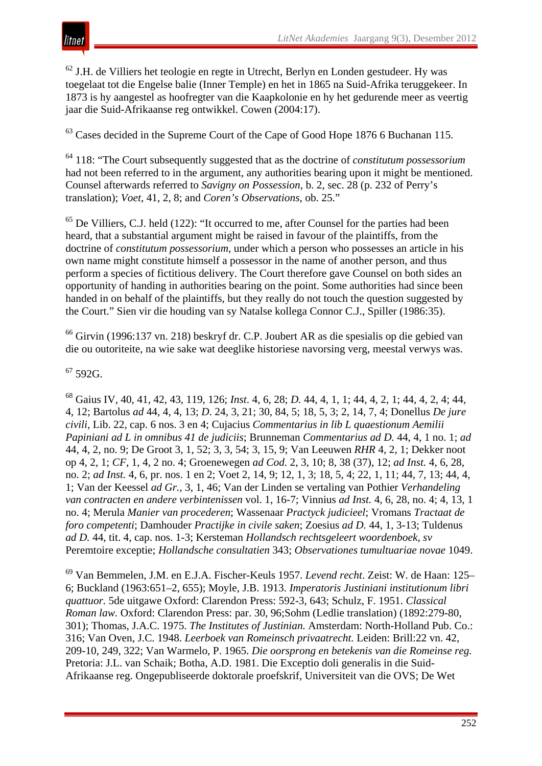

<sup>62</sup> J.H. de Villiers het teologie en regte in Utrecht, Berlyn en Londen gestudeer. Hy was toegelaat tot die Engelse balie (Inner Temple) en het in 1865 na Suid-Afrika teruggekeer. In 1873 is hy aangestel as hoofregter van die Kaapkolonie en hy het gedurende meer as veertig jaar die Suid-Afrikaanse reg ontwikkel. Cowen (2004:17).

<sup>63</sup> Cases decided in the Supreme Court of the Cape of Good Hope 1876 6 Buchanan 115.

<sup>64</sup> 118: "The Court subsequently suggested that as the doctrine of *constitutum possessorium* had not been referred to in the argument, any authorities bearing upon it might be mentioned. Counsel afterwards referred to *Savigny on Possession*, b. 2, sec. 28 (p. 232 of Perry's translation); *Voet*, 41, 2, 8; and *Coren's Observations*, ob. 25."

 $<sup>65</sup>$  De Villiers, C.J. held (122): "It occurred to me, after Counsel for the parties had been</sup> heard, that a substantial argument might be raised in favour of the plaintiffs, from the doctrine of *constitutum possessorium,* under which a person who possesses an article in his own name might constitute himself a possessor in the name of another person, and thus perform a species of fictitious delivery. The Court therefore gave Counsel on both sides an opportunity of handing in authorities bearing on the point. Some authorities had since been handed in on behalf of the plaintiffs, but they really do not touch the question suggested by the Court." Sien vir die houding van sy Natalse kollega Connor C.J., Spiller (1986:35).

<sup>66</sup> Girvin (1996:137 vn. 218) beskryf dr. C.P. Joubert AR as die spesialis op die gebied van die ou outoriteite, na wie sake wat deeglike historiese navorsing verg, meestal verwys was.

#### $67$  592G.

<sup>68</sup> Gaius IV, 40, 41, 42, 43, 119, 126; *Inst*. 4, 6, 28; *D.* 44, 4, 1, 1; 44, 4, 2, 1; 44, 4, 2, 4; 44, 4, 12; Bartolus *ad* 44, 4, 4, 13; *D*. 24, 3, 21; 30, 84, 5; 18, 5, 3; 2, 14, 7, 4; Donellus *De jure civili,* Lib. 22, cap. 6 nos. 3 en 4; Cujacius *Commentarius in lib L quaestionum Aemilii Papiniani ad L in omnibus 41 de judiciis*; Brunneman *Commentarius ad D.* 44, 4, 1 no. 1; *ad* 44, 4, 2, no. 9; De Groot 3, 1, 52; 3, 3, 54; 3, 15, 9; Van Leeuwen *RHR* 4, 2, 1; Dekker noot op 4, 2, 1; *CF*, 1, 4, 2 no. 4; Groenewegen *ad Cod.* 2, 3, 10; 8, 38 (37), 12; *ad Inst.* 4, 6, 28, no. 2; *ad Inst.* 4, 6, pr. nos. 1 en 2; Voet 2, 14, 9; 12, 1, 3; 18, 5, 4; 22, 1, 11; 44, 7, 13; 44, 4, 1; Van der Keessel *ad Gr.,* 3, 1, 46; Van der Linden se vertaling van Pothier *Verhandeling van contracten en andere verbintenissen* vol. 1, 16-7; Vinnius *ad Inst.* 4, 6, 28, no. 4; 4, 13, 1 no. 4; Merula *Manier van procederen*; Wassenaar *Practyck judicieel*; Vromans *Tractaat de foro competenti*; Damhouder *Practijke in civile saken*; Zoesius *ad D.* 44, 1, 3-13; Tuldenus *ad D.* 44, tit. 4, cap. nos. 1-3; Kersteman *Hollandsch rechtsgeleert woordenboek, sv*  Peremtoire exceptie; *Hollandsche consultatien* 343; *Observationes tumultuariae novae* 1049.

<sup>69</sup> Van Bemmelen, J.M. en E.J.A. Fischer-Keuls 1957. *Levend recht*. Zeist: W. de Haan: 125– 6; Buckland (1963:651–2, 655); Moyle, J.B. 1913. *Imperatoris Justiniani institutionum libri quattuor.* 5de uitgawe Oxford: Clarendon Press: 592-3, 643; Schulz, F. 1951. *Classical Roman law.* Oxford: Clarendon Press: par. 30, 96;Sohm (Ledlie translation) (1892:279-80, 301); Thomas, J.A.C. 1975. *The Institutes of Justinian.* Amsterdam: North-Holland Pub. Co.: 316; Van Oven, J.C. 1948. *Leerboek van Romeinsch privaatrecht.* Leiden: Brill:22 vn. 42, 209-10, 249, 322; Van Warmelo, P. 1965. *Die oorsprong en betekenis van die Romeinse reg.*  Pretoria: J.L. van Schaik; Botha, A.D. 1981. Die Exceptio doli generalis in die Suid-Afrikaanse reg. Ongepubliseerde doktorale proefskrif, Universiteit van die OVS; De Wet